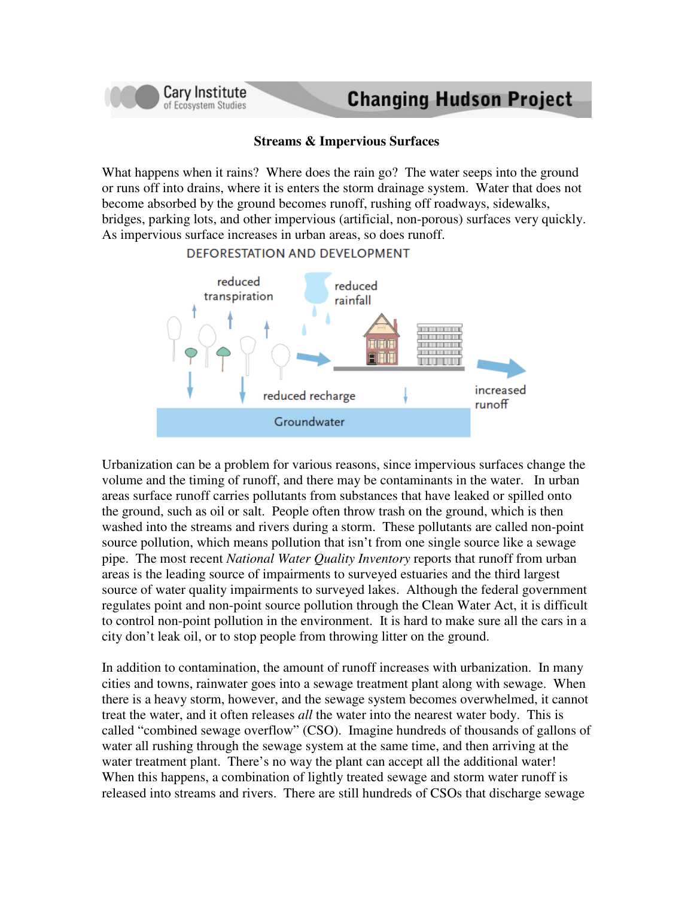

## **Streams & Impervious Surfaces**

What happens when it rains? Where does the rain go? The water seeps into the ground or runs off into drains, where it is enters the storm drainage system. Water that does not become absorbed by the ground becomes runoff, rushing off roadways, sidewalks, bridges, parking lots, and other impervious (artificial, non-porous) surfaces very quickly. As impervious surface increases in urban areas, so does runoff.



Urbanization can be a problem for various reasons, since impervious surfaces change the volume and the timing of runoff, and there may be contaminants in the water. In urban areas surface runoff carries pollutants from substances that have leaked or spilled onto the ground, such as oil or salt. People often throw trash on the ground, which is then washed into the streams and rivers during a storm. These pollutants are called non-point source pollution, which means pollution that isn't from one single source like a sewage pipe. The most recent *National Water Quality Inventory* reports that runoff from urban areas is the leading source of impairments to surveyed estuaries and the third largest source of water quality impairments to surveyed lakes. Although the federal government regulates point and non-point source pollution through the Clean Water Act, it is difficult to control non-point pollution in the environment. It is hard to make sure all the cars in a city don't leak oil, or to stop people from throwing litter on the ground.

In addition to contamination, the amount of runoff increases with urbanization. In many cities and towns, rainwater goes into a sewage treatment plant along with sewage. When there is a heavy storm, however, and the sewage system becomes overwhelmed, it cannot treat the water, and it often releases *all* the water into the nearest water body. This is called "combined sewage overflow" (CSO). Imagine hundreds of thousands of gallons of water all rushing through the sewage system at the same time, and then arriving at the water treatment plant. There's no way the plant can accept all the additional water! When this happens, a combination of lightly treated sewage and storm water runoff is released into streams and rivers. There are still hundreds of CSOs that discharge sewage